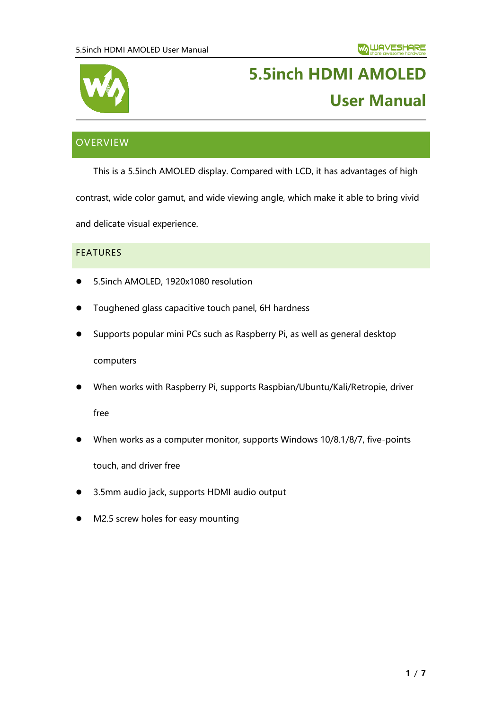

# **5.5inch HDMI AMOLED User Manual**

# <span id="page-0-0"></span>**OVERVIEW**

This is a 5.5inch AMOLED display. Compared with LCD, it has advantages of high

contrast, wide color gamut, and wide viewing angle, which make it able to bring vivid

and delicate visual experience.

### <span id="page-0-1"></span>**FEATURES**

- 5.5inch AMOLED, 1920x1080 resolution
- ⚫ Toughened glass capacitive touch panel, 6H hardness
- ⚫ Supports popular mini PCs such as Raspberry Pi, as well as general desktop

computers

⚫ When works with Raspberry Pi, supports Raspbian/Ubuntu/Kali/Retropie, driver

free

When works as a computer monitor, supports Windows 10/8.1/8/7, five-points

touch, and driver free

- ⚫ 3.5mm audio jack, supports HDMI audio output
- M2.5 screw holes for easy mounting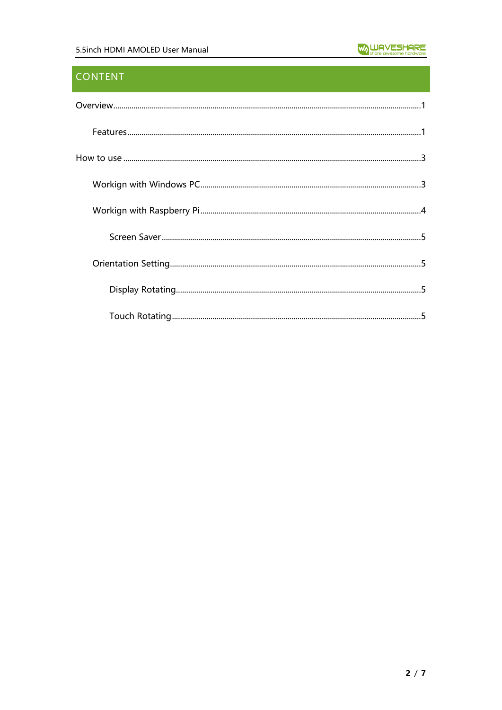## **CONTENT**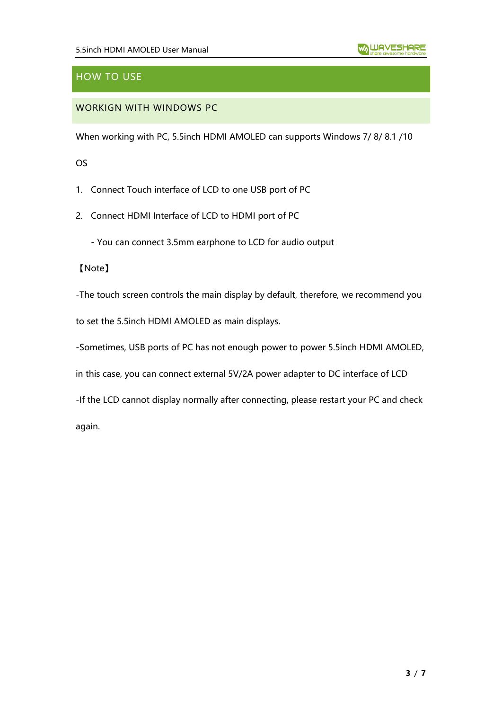# <span id="page-2-0"></span>HOW TO USE

## <span id="page-2-1"></span>WORKIGN WITH WINDOWS PC

When working with PC, 5.5inch HDMI AMOLED can supports Windows 7/ 8/ 8.1 /10

OS

1. Connect Touch interface of LCD to one USB port of PC

2. Connect HDMI Interface of LCD to HDMI port of PC

- You can connect 3.5mm earphone to LCD for audio output

【Note】

-The touch screen controls the main display by default, therefore, we recommend you

to set the 5.5inch HDMI AMOLED as main displays.

-Sometimes, USB ports of PC has not enough power to power 5.5inch HDMI AMOLED,

in this case, you can connect external 5V/2A power adapter to DC interface of LCD

-If the LCD cannot display normally after connecting, please restart your PC and check

again.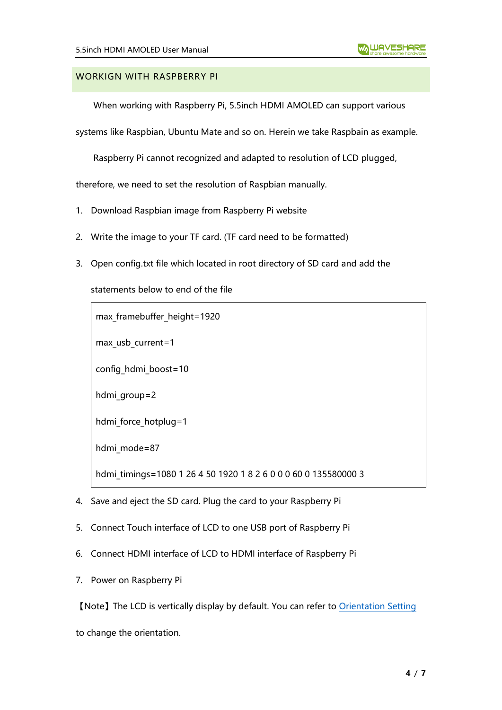### <span id="page-3-0"></span>WORKIGN WITH RASPBERRY PI

When working with Raspberry Pi, 5.5inch HDMI AMOLED can support various

systems like Raspbian, Ubuntu Mate and so on. Herein we take Raspbain as example.

Raspberry Pi cannot recognized and adapted to resolution of LCD plugged,

therefore, we need to set the resolution of Raspbian manually.

- 1. Download Raspbian image from Raspberry Pi website
- 2. Write the image to your TF card. (TF card need to be formatted)
- 3. Open config.txt file which located in root directory of SD card and add the

statements below to end of the file

max framebuffer height=1920

max usb current=1

config hdmi boost=10

hdmi group=2

hdmi force hotplug=1

hdmi mode=87

hdmi timings=1080 1 26 4 50 1920 1 8 2 6 0 0 0 60 0 135580000 3

- 4. Save and eject the SD card. Plug the card to your Raspberry Pi
- 5. Connect Touch interface of LCD to one USB port of Raspberry Pi
- 6. Connect HDMI interface of LCD to HDMI interface of Raspberry Pi
- 7. Power on Raspberry Pi

【Note】The LCD is vertically display by default. You can refer to [Orientation Setting](#page-4-1)

to change the orientation.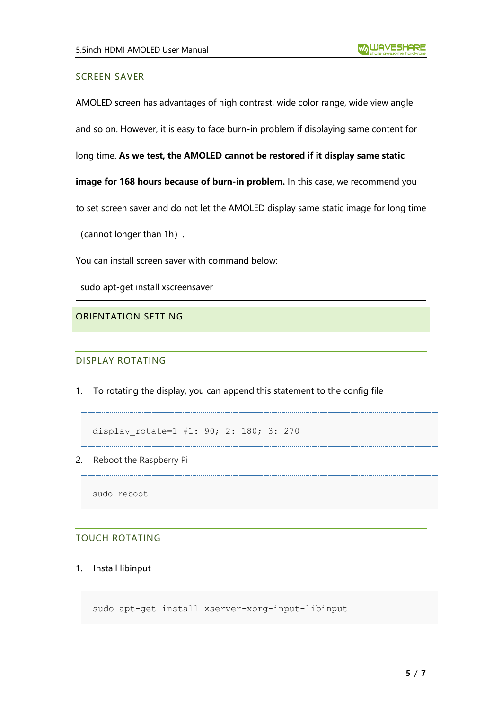#### <span id="page-4-0"></span>SCREEN SAVER

AMOLED screen has advantages of high contrast, wide color range, wide view angle

and so on. However, it is easy to face burn-in problem if displaying same content for

long time. **As we test, the AMOLED cannot be restored if it display same static** 

**image for 168 hours because of burn-in problem.** In this case, we recommend you

to set screen saver and do not let the AMOLED display same static image for long time

(cannot longer than 1h).

You can install screen saver with command below:

sudo apt-get install xscreensaver

<span id="page-4-2"></span><span id="page-4-1"></span>ORIENTATION SETTING

DISPLAY ROTATING

1. To rotating the display, you can append this statement to the config file

```
display rotate=1 #1: 90; 2: 180; 3: 270
```
2. Reboot the Raspberry Pi

sudo reboot

#### <span id="page-4-3"></span>TOUCH ROTATING

1. Install libinput

```
sudo apt-get install xserver-xorg-input-libinput
```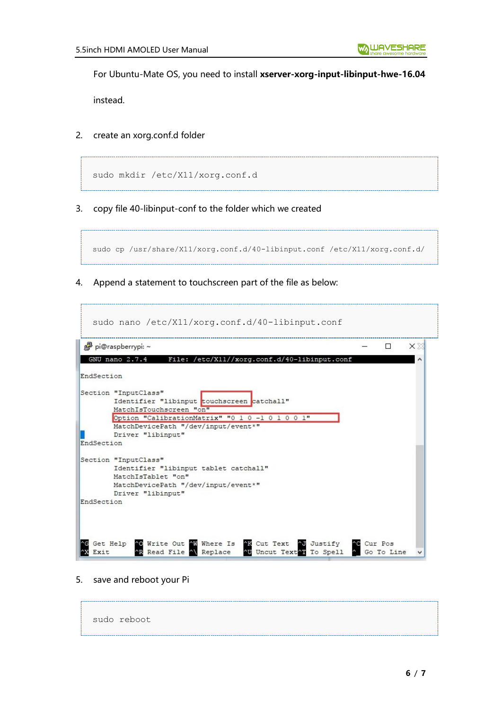For Ubuntu-Mate OS, you need to install **xserver-xorg-input-libinput-hwe-16.04**

instead.

2. create an xorg.conf.d folder

```
sudo mkdir /etc/X11/xorg.conf.d
```
3. copy file 40-libinput-conf to the folder which we created

```
sudo cp /usr/share/X11/xorg.conf.d/40-libinput.conf /etc/X11/xorg.conf.d/
```
4. Append a statement to touchscreen part of the file as below:

| File: /etc/X11//xorg.conf.d/40-libinput.conf<br>GNU nano 2.7.4<br>EndSection<br>Section "InputClass"<br>Identifier "libinput touchscreen catchall" |  |
|----------------------------------------------------------------------------------------------------------------------------------------------------|--|
|                                                                                                                                                    |  |
|                                                                                                                                                    |  |
|                                                                                                                                                    |  |
|                                                                                                                                                    |  |
| MatchIsTouchscreen "on"                                                                                                                            |  |
| Option "CalibrationMatrix" "0 1 0 -1 0 1 0 0 1"                                                                                                    |  |
| MatchDevicePath "/dev/input/event*"                                                                                                                |  |
| Driver "libinput"                                                                                                                                  |  |
| EndSection                                                                                                                                         |  |
|                                                                                                                                                    |  |
| Section "InputClass"                                                                                                                               |  |
| Identifier "libinput tablet catchall"                                                                                                              |  |
| MatchIsTablet "on"                                                                                                                                 |  |
| MatchDevicePath "/dev/input/event*"                                                                                                                |  |
| Driver "libinput"                                                                                                                                  |  |
| EndSection                                                                                                                                         |  |
|                                                                                                                                                    |  |

5. save and reboot your Pi